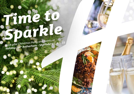# *Time to [Sparkle](https://rotherham-sheffield.hichristmas.co.uk)*

*Book your Christmas Party and Events at Holiday Inn® Rotherham - Sheffield M1, Jct. 33*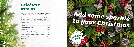Why not join us at the Holiday Inn Rotherham - Sheffield M1, Jct. 33 to celebrate Christmas 2022 in style?

Whether you're looking to organise a spectacular Christmas party for colleagues, a festive night out for friends or a celebratory feast with loved ones, we've got the perfect package for you.

| New Year's Eve A Little Early  Page 11 |  |
|----------------------------------------|--|
|                                        |  |
|                                        |  |
|                                        |  |

### *Celebrate with us*



2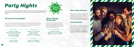#### *All Inclusive Party Nights*

Our all-inclusive party nights include everything you need for the perfect festive night out! Enjoy a three-course meal, disco and drinks throughout the evening. The bar will offer you plenty of choice from house wine, house spirits & mixers, draught lager/beer, selected alcopops and soft drinks all included in the price. The all-inclusive bar is available from 8pm - 12am

> **Thursdays: 8th & 15th December Friday 25th November Saturday 26th November** Sundays: 4<sup>th</sup>, 11<sup>th</sup> & 18<sup>th</sup> December

**£45.95 per adult**

**Thursday 22nd December Fridays: 18th November, 23rd December, 6th, 13th, 20th & 27th January** Saturdays: 19<sup>th</sup> November, **7th, 14th, 21st & 28th January**

# *[Party Nights](https://rotherham-sheffield.hichristmas.co.uk)*

**Thursday 22nd December Fridays: 2nd, 9th, 16th & 23rd December** Saturdays: 3<sup>rd</sup>, 10<sup>th</sup> & 17<sup>th</sup> December

Join us for an amazing Christmas party atmosphere at one of our festive party nights. Our function rooms can accommodate up to 360 guests and feature private dancefloor and bar area.

> **Fridays: 9th & 16th December** Saturdays: 10<sup>th</sup> & 17<sup>th</sup> December



**£49.95 per adult**

### *Dance Through the Decades*

A glass of chilled fizz will be waiting for you upon arrival at our festive party night. Enjoy a three-course meal and then dance the night away with our DJ who will take you through the decades with all the party classics!

**£55.95 per adult**

**Friday 2nd December Saturday 3rd December**

#### **£35.95 per adult**

**£59.95 per adult**

#### *Meet, Stay and Party*

Work, rest and play! Join us throughout November, December or January with your colleagues for a full-day meeting, your choice of celebration in the evening, overnight accommodation and breakfast the following day. Plan your end-of-year meeting today! Please enquire for availability and pricing.

#### *Private Parties*

From intimate family gatherings to large corporate parties, we have functions rooms available to hire based on your requirements. Please contact us so we can help you plan your perfect celebration. Minimum numbers apply. Prices available upon request. Pre-booking only and subject to availability. Dates sell fast so enquire today!

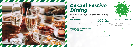# *[Casual Festive](https://rotherham-sheffield.hichristmas.co.uk) Dining*

Whether you're looking to organise a spectacular Christmas dinner for colleagues, a festive lunch for friends or a celebratory feast with loved ones, we've got the perfect event for you.

#### *Festive Lunch*

Our festive lunches are perfect for any occasion, whether you want to spend time with family, friends or work colleagues. Includes a glass of fizz upon arrival and a three-course festive meal.

**Available seven days a week. (subject to availability). Pre-booking essential. Call 03333 209 348 opt 4 to book.**

#### *Pizza and Prosecco*

Pizza and Prosecco = Perfect! Book today so you can enjoy a pizza and a glass of Prosecco each in the relaxed atmosphere of our Open Lobby.

#### **£14.95 per person**

#### *Festive Fizz Afternoon Tea*

Enjoy a festive afternoon tea, including tea & coffee and a refreshing glass of fizz! The perfect treat for anyone to enjoy. It also includes a selection of sandwiches, scones with cream & jam and a mouthwatering slice of seasonal cake.

#### **£18.00 per person**



**From £17.95 per person**

**Available every Tuesday and Thursday throughout December at 12pm, 12:30pm and 1pm. Pre-booking essential, available to book online.** 



**Fridays and Sundays throughout December at 5pm, 6pm and 6:30pm. Available to book online.**

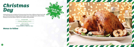### *Christmas Day*

Nothing brings the true feeling of Christmas Day closer than a delicious festive lunch with your nearest and dearest. Enjoy a fantastic three course meal with tea & coffee to finish, leaving us to do the dishes! A gift for the children will be provided.

**£55.00 per adult**

**£30.00 per child (aged 3-12 years)**

**Under 3's eat free**

### *Menus to follow*



**Sunday 25th December Sittings available at 12.30pm and 1.00pm**

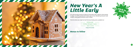## *New Year's A Little Early*

Let's get the party started on Friday 30<sup>th</sup> December with a night for all the family to enjoy! You will be greeted with a drink upon arrival, followed by fantastic food, children's party games and disco until 10:30pm.

Think the little ones might be tired? We have family rooms available too!

**£20.00 per adult £10.00 per child (aged 3-12 years) Under 3's eat free Friday 30th December**

*Menus to follow*







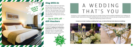### *Stay With Us*

Why not make a night of it and enjoy our special Christmas rates? Room types include standard double, family and twin. Take advantage of up to 20% off our best flexible, bed and breakfast rate. No deposit required and can be cancelled free of charge up to 48 hours prior to arrival.

### *Gift Vouchers*  $-$  Up to 20% off  $-$

We are excited to share with you the amazing gift vouchers we now have available at Holiday Inn Rotherham - Sheffield M1, Jct. 33 From delightful afternoon teas to overnight break packages, there's a gift for everyone. Give the gift of travel this year!



Christmas is such a wonderful time of year, why not consider having a festive wedding celebration? Our weddings are [available all year round and our fantastic wedding team will work with you to ensure you get everything you desire to](http://www.hirotherhamsheffield.co.uk/weddings)  make your special day a dream come true.



#### Contact us to start creating a wedding that's you, or click to find out more about our weddings



# A WEDDING THAT'S YOU